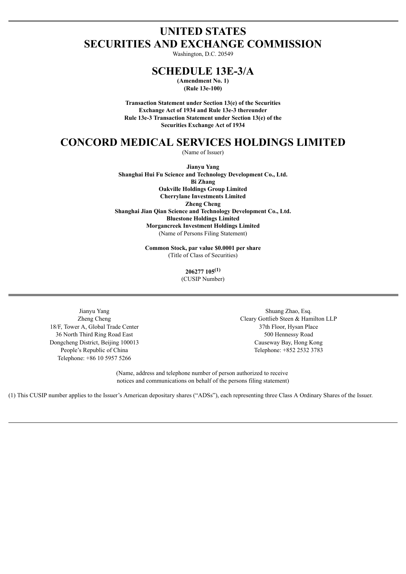# **UNITED STATES SECURITIES AND EXCHANGE COMMISSION**

Washington, D.C. 20549

## **SCHEDULE 13E-3/A**

**(Amendment No. 1) (Rule 13e-100)**

**Transaction Statement under Section 13(e) of the Securities Exchange Act of 1934 and Rule 13e-3 thereunder Rule 13e-3 Transaction Statement under Section 13(e) of the Securities Exchange Act of 1934**

## **CONCORD MEDICAL SERVICES HOLDINGS LIMITED**

(Name of Issuer)

**Jianyu Yang Shanghai Hui Fu Science and Technology Development Co., Ltd. Bi Zhang Oakville Holdings Group Limited Cherrylane Investments Limited Zheng Cheng Shanghai Jian Qian Science and Technology Development Co., Ltd. Bluestone Holdings Limited Morgancreek Investment Holdings Limited** (Name of Persons Filing Statement)

> **Common Stock, par value \$0.0001 per share** (Title of Class of Securities)

> > **206277 105 (1)** (CUSIP Number)

18/F, Tower A, Global Trade Center 37th Floor, Hysan Place 36 North Third Ring Road East 500 Hennessy Road Dongcheng District, Beijing 100013 Causeway Bay, Hong Kong Telephone: +86 10 5957 5266

Jianyu Yang  $\Box$  Shuang Zhao, Esq. Zheng Cheng Cleary Gottlieb Steen & Hamilton LLP People's Republic of China Telephone: +852 2532 3783

> (Name, address and telephone number of person authorized to receive notices and communications on behalf of the persons filing statement)

(1) This CUSIP number applies to the Issuer's American depositary shares ("ADSs"), each representing three Class A Ordinary Shares of the Issuer.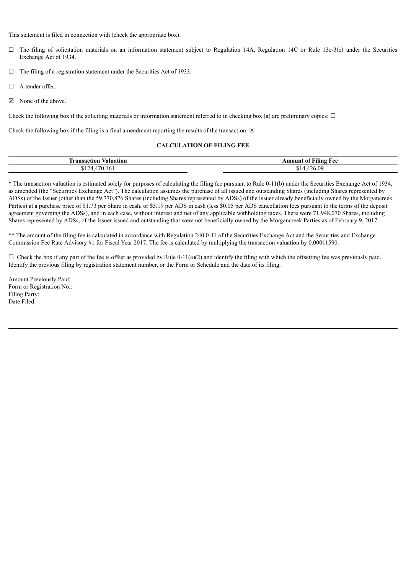This statement is filed in connection with (check the appropriate box):

- $\Box$  The filing of solicitation materials on an information statement subject to Regulation 14A, Regulation 14C or Rule 13e-3(c) under the Securities Exchange Act of 1934.
- $\Box$  The filing of a registration statement under the Securities Act of 1933.
- □ A tender offer.
- ☒ None of the above.

Check the following box if the soliciting materials or information statement referred to in checking box (a) are preliminary copies:  $\Box$ 

Check the following box if the filing is a final amendment reporting the results of the transaction:  $\boxtimes$ 

#### **CALCULATION OF FILING FEE**

| Transaction<br>⁄aluatıon | -<br>$A = 1$<br>ılıng<br>- Η ΑΑ<br>-01<br>10UN. |
|--------------------------|-------------------------------------------------|
|                          | ΛQ<br>.                                         |

\* The transaction valuation is estimated solely for purposes of calculating the filing fee pursuant to Rule 0-11(b) under the Securities Exchange Act of 1934, as amended (the "Securities Exchange Act"). The calculation assumes the purchase of all issued and outstanding Shares (including Shares represented by ADSs) of the Issuer (other than the 59,770,876 Shares (including Shares represented by ADSs) of the Issuer already beneficially owned by the Morgancreek Parties) at a purchase price of \$1.73 per Share in cash, or \$5.19 per ADS in cash (less \$0.05 per ADS cancellation fees pursuant to the terms of the deposit agreement governing the ADSs), and in each case, without interest and net of any applicable withholding taxes. There were 71,948,070 Shares, including Shares represented by ADSs, of the Issuer issued and outstanding that were not beneficially owned by the Morgancreek Parties as of February 9, 2017.

\*\* The amount of the filing fee is calculated in accordance with Regulation 240.0-11 of the Securities Exchange Act and the Securities and Exchange Commission Fee Rate Advisory #1 for Fiscal Year 2017. The fee is calculated by multiplying the transaction valuation by 0.00011590.

 $\Box$  Check the box if any part of the fee is offset as provided by Rule 0-11(a)(2) and identify the filing with which the offsetting fee was previously paid. Identify the previous filing by registration statement number, or the Form or Schedule and the date of its filing.

Amount Previously Paid: Form or Registration No.: Filing Party: Date Filed: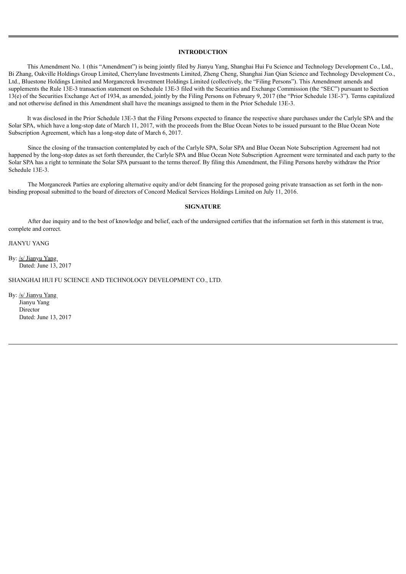#### **INTRODUCTION**

This Amendment No. 1 (this "Amendment") is being jointly filed by Jianyu Yang, Shanghai Hui Fu Science and Technology Development Co., Ltd., Bi Zhang, Oakville Holdings Group Limited, Cherrylane Investments Limited, Zheng Cheng, Shanghai Jian Qian Science and Technology Development Co., Ltd., Bluestone Holdings Limited and Morgancreek Investment Holdings Limited (collectively, the "Filing Persons"). This Amendment amends and supplements the Rule 13E-3 transaction statement on Schedule 13E-3 filed with the Securities and Exchange Commission (the "SEC") pursuant to Section 13(e) of the Securities Exchange Act of 1934, as amended, jointly by the Filing Persons on February 9, 2017 (the "Prior Schedule 13E-3"). Terms capitalized and not otherwise defined in this Amendment shall have the meanings assigned to them in the Prior Schedule 13E-3.

It was disclosed in the Prior Schedule 13E-3 that the Filing Persons expected to finance the respective share purchases under the Carlyle SPA and the Solar SPA, which have a long-stop date of March 11, 2017, with the proceeds from the Blue Ocean Notes to be issued pursuant to the Blue Ocean Note Subscription Agreement, which has a long-stop date of March 6, 2017.

Since the closing of the transaction contemplated by each of the Carlyle SPA, Solar SPA and Blue Ocean Note Subscription Agreement had not happened by the long-stop dates as set forth thereunder, the Carlyle SPA and Blue Ocean Note Subscription Agreement were terminated and each party to the Solar SPA has a right to terminate the Solar SPA pursuant to the terms thereof. By filing this Amendment, the Filing Persons hereby withdraw the Prior Schedule 13E-3.

The Morgancreek Parties are exploring alternative equity and/or debt financing for the proposed going private transaction as set forth in the nonbinding proposal submitted to the board of directors of Concord Medical Services Holdings Limited on July 11, 2016.

#### **SIGNATURE**

After due inquiry and to the best of knowledge and belief, each of the undersigned certifies that the information set forth in this statement is true, complete and correct.

JIANYU YANG

By: /s/ Jianyu Yang Dated: June 13, 2017

SHANGHAI HUI FU SCIENCE AND TECHNOLOGY DEVELOPMENT CO., LTD.

By: /s/ Jianyu Yang Jianyu Yang Director Dated: June 13, 2017